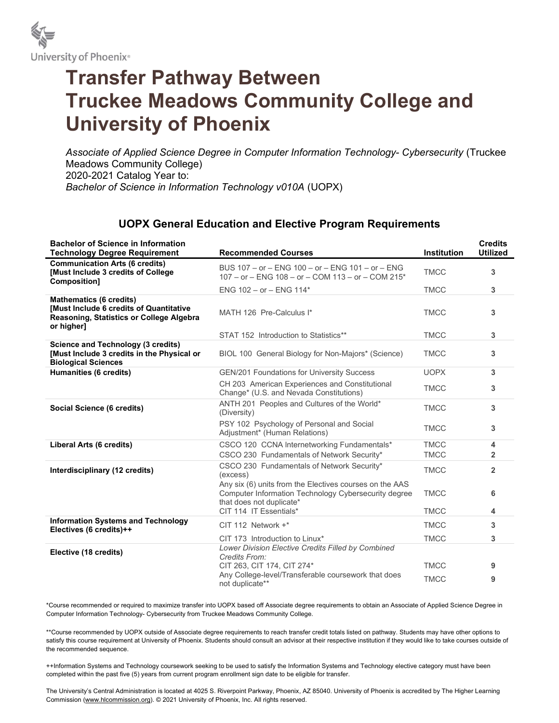

## Transfer Pathway Between Truckee Meadows Community College and University of Phoenix

Associate of Applied Science Degree in Computer Information Technology- Cybersecurity (Truckee Meadows Community College) 2020-2021 Catalog Year to: Bachelor of Science in Information Technology v010A (UOPX)

## UOPX General Education and Elective Program Requirements

| <b>Bachelor of Science in Information</b><br><b>Technology Degree Requirement</b>                                                   | <b>Recommended Courses</b>                                                                                                                  | <b>Institution</b> | <b>Credits</b><br><b>Utilized</b> |
|-------------------------------------------------------------------------------------------------------------------------------------|---------------------------------------------------------------------------------------------------------------------------------------------|--------------------|-----------------------------------|
| <b>Communication Arts (6 credits)</b><br><b>[Must Include 3 credits of College</b><br>Composition]                                  | BUS 107 - or - ENG 100 - or - ENG 101 - or - ENG<br>$107 - or - ENG$ 108 - or - COM 113 - or - COM 215*                                     | <b>TMCC</b>        | 3                                 |
|                                                                                                                                     | ENG $102 - or - ENG$ 114*                                                                                                                   | <b>TMCC</b>        | 3                                 |
| <b>Mathematics (6 credits)</b><br>[Must Include 6 credits of Quantitative<br>Reasoning, Statistics or College Algebra<br>or higher] | MATH 126 Pre-Calculus I*                                                                                                                    | <b>TMCC</b>        | 3                                 |
|                                                                                                                                     | STAT 152 Introduction to Statistics**                                                                                                       | <b>TMCC</b>        | 3                                 |
| <b>Science and Technology (3 credits)</b><br>[Must Include 3 credits in the Physical or<br><b>Biological Sciences</b>               | BIOL 100 General Biology for Non-Majors* (Science)                                                                                          | <b>TMCC</b>        | 3                                 |
| Humanities (6 credits)                                                                                                              | GEN/201 Foundations for University Success                                                                                                  | <b>UOPX</b>        | 3                                 |
|                                                                                                                                     | CH 203 American Experiences and Constitutional<br>Change* (U.S. and Nevada Constitutions)                                                   | <b>TMCC</b>        | 3                                 |
| Social Science (6 credits)                                                                                                          | ANTH 201 Peoples and Cultures of the World*<br>(Diversity)                                                                                  | <b>TMCC</b>        | 3                                 |
|                                                                                                                                     | PSY 102 Psychology of Personal and Social<br>Adjustment* (Human Relations)                                                                  | <b>TMCC</b>        | 3                                 |
| Liberal Arts (6 credits)                                                                                                            | CSCO 120 CCNA Internetworking Fundamentals*                                                                                                 | <b>TMCC</b>        | 4                                 |
|                                                                                                                                     | CSCO 230 Fundamentals of Network Security*                                                                                                  | <b>TMCC</b>        | 2                                 |
| Interdisciplinary (12 credits)                                                                                                      | CSCO 230 Fundamentals of Network Security*<br>(excess)                                                                                      | <b>TMCC</b>        | $\overline{2}$                    |
|                                                                                                                                     | Any six (6) units from the Electives courses on the AAS<br>Computer Information Technology Cybersecurity degree<br>that does not duplicate* | <b>TMCC</b>        | 6                                 |
|                                                                                                                                     | CIT 114 IT Essentials*                                                                                                                      | <b>TMCC</b>        | 4                                 |
| <b>Information Systems and Technology</b><br>Electives (6 credits)++                                                                | CIT 112 Network +*                                                                                                                          | <b>TMCC</b>        | 3                                 |
|                                                                                                                                     | CIT 173 Introduction to Linux*                                                                                                              | <b>TMCC</b>        | 3                                 |
| Elective (18 credits)                                                                                                               | Lower Division Elective Credits Filled by Combined<br>Credits From:                                                                         |                    |                                   |
|                                                                                                                                     | CIT 263, CIT 174, CIT 274*                                                                                                                  | <b>TMCC</b>        | 9                                 |
|                                                                                                                                     | Any College-level/Transferable coursework that does<br>not duplicate**                                                                      | <b>TMCC</b>        | 9                                 |

\*Course recommended or required to maximize transfer into UOPX based off Associate degree requirements to obtain an Associate of Applied Science Degree in Computer Information Technology- Cybersecurity from Truckee Meadows Community College.

\*\*Course recommended by UOPX outside of Associate degree requirements to reach transfer credit totals listed on pathway. Students may have other options to satisfy this course requirement at University of Phoenix. Students should consult an advisor at their respective institution if they would like to take courses outside of the recommended sequence.

++Information Systems and Technology coursework seeking to be used to satisfy the Information Systems and Technology elective category must have been completed within the past five (5) years from current program enrollment sign date to be eligible for transfer.

The University's Central Administration is located at 4025 S. Riverpoint Parkway, Phoenix, AZ 85040. University of Phoenix is accredited by The Higher Learning Commission (www.hlcommission.org). © 2021 University of Phoenix, Inc. All rights reserved.